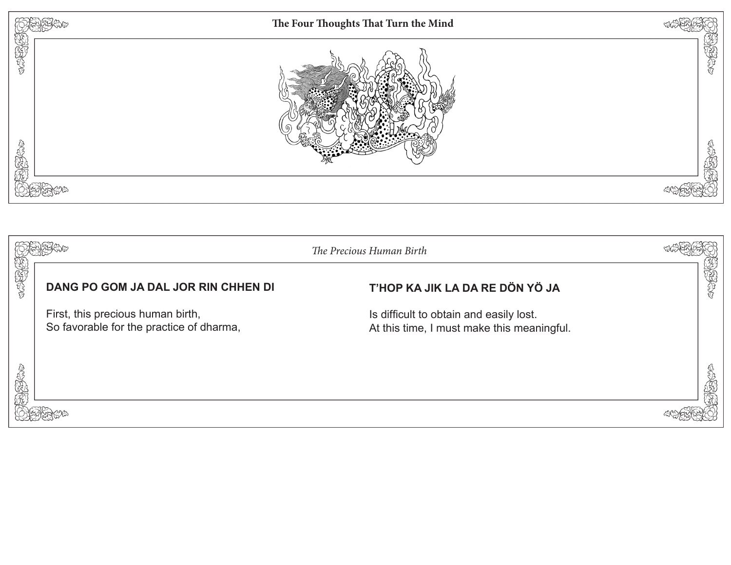

|         |                                                                               | The Precious Human Birth                                                              |     |
|---------|-------------------------------------------------------------------------------|---------------------------------------------------------------------------------------|-----|
| CREAT   | DANG PO GOM JA DAL JOR RIN CHHEN DI                                           | T'HOP KA JIK LA DA RE DÖN YÖ JA                                                       | 医发射 |
|         | First, this precious human birth,<br>So favorable for the practice of dharma, | Is difficult to obtain and easily lost.<br>At this time, I must make this meaningful. |     |
| COMBART |                                                                               |                                                                                       | J   |
|         |                                                                               |                                                                                       |     |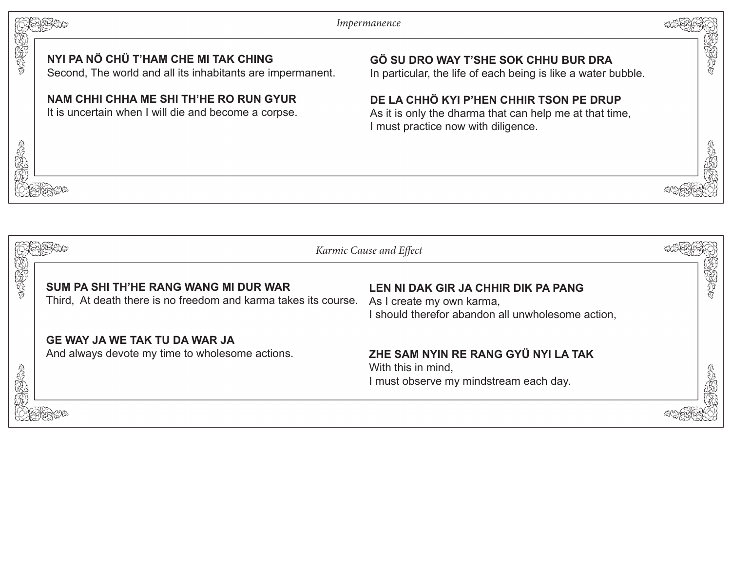*Impermanence*



**CONSCRIPTION** 

## **NYI PA NÖ CHÜ T'HAM CHE MI TAK CHING**

3696969

我好好吧

Second, The world and all its inhabitants are impermanent.

#### **NAM CHHI CHHA ME SHI TH'HE RO RUN GYUR**

It is uncertain when I will die and become a corpse.

# **GÖ SU DRO WAY T'SHE SOK CHHU BUR DRA**

In particular, the life of each being is like a water bubble.

# **DE LA CHHÖ KYI P'HEN CHHIR TSON PE DRUP**

As it is only the dharma that can help me at that time, I must practice now with diligence.